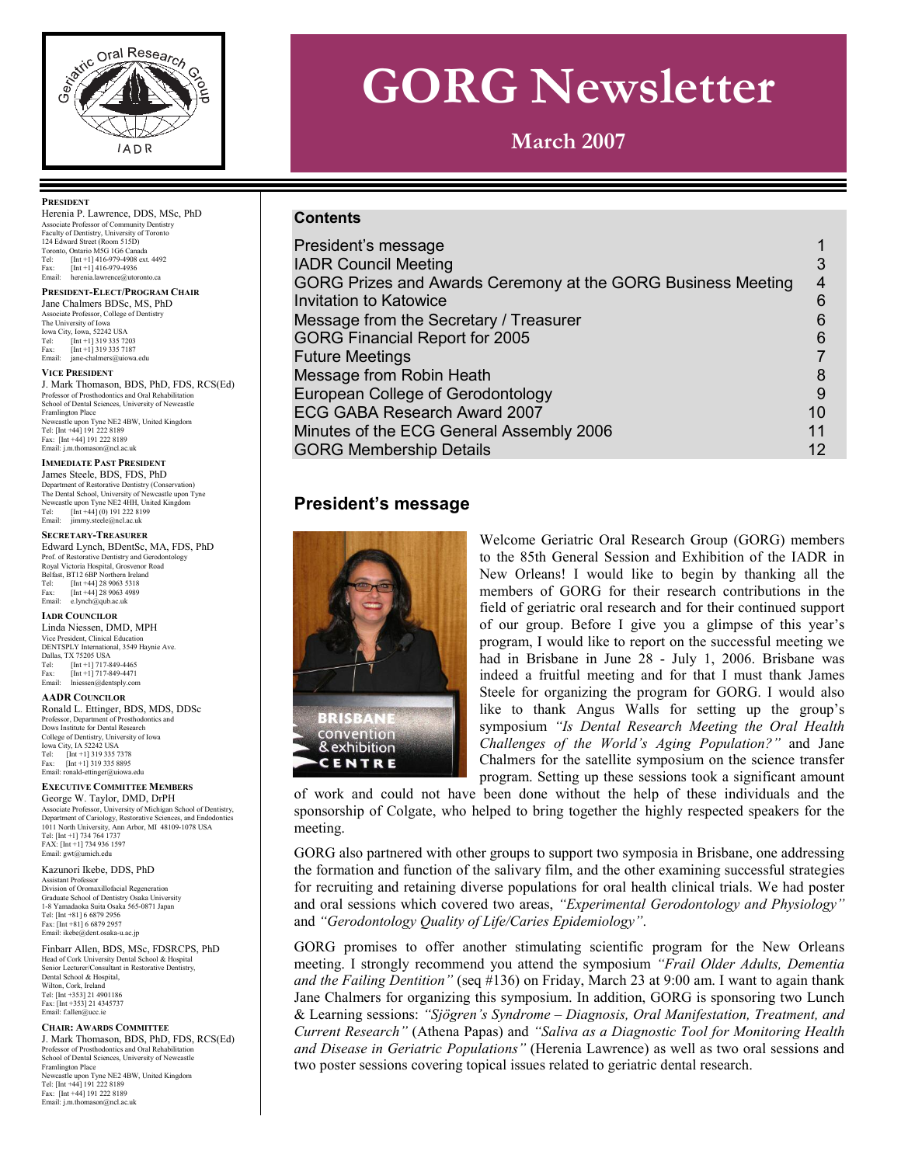

# **GORG Newsletter**

**March 2007** 

# **Contents**

| President's message                                          |                |
|--------------------------------------------------------------|----------------|
| <b>IADR Council Meeting</b>                                  | 3              |
| GORG Prizes and Awards Ceremony at the GORG Business Meeting | $\overline{4}$ |
| <b>Invitation to Katowice</b>                                | 6              |
| Message from the Secretary / Treasurer                       | 6              |
| GORG Financial Report for 2005                               | 6              |
| <b>Future Meetings</b>                                       |                |
| Message from Robin Heath                                     | 8              |
| European College of Gerodontology                            | 9              |
| ECG GABA Research Award 2007                                 | 10             |
| Minutes of the ECG General Assembly 2006                     | 11             |
| <b>GORG Membership Details</b>                               | 12             |

# **President's message**



# Welcome Geriatric Oral Research Group (GORG) members to the 85th General Session and Exhibition of the IADR in New Orleans! I would like to begin by thanking all the members of GORG for their research contributions in the field of geriatric oral research and for their continued support of our group. Before I give you a glimpse of this year's program, I would like to report on the successful meeting we had in Brisbane in June 28 - July 1, 2006. Brisbane was indeed a fruitful meeting and for that I must thank James Steele for organizing the program for GORG. I would also like to thank Angus Walls for setting up the group's symposium *"Is Dental Research Meeting the Oral Health Challenges of the World's Aging Population?"* and Jane Chalmers for the satellite symposium on the science transfer program. Setting up these sessions took a significant amount

of work and could not have been done without the help of these individuals and the sponsorship of Colgate, who helped to bring together the highly respected speakers for the meeting.

GORG also partnered with other groups to support two symposia in Brisbane, one addressing the formation and function of the salivary film, and the other examining successful strategies for recruiting and retaining diverse populations for oral health clinical trials. We had poster and oral sessions which covered two areas, *"Experimental Gerodontology and Physiology"* and *"Gerodontology Quality of Life/Caries Epidemiology"*.

GORG promises to offer another stimulating scientific program for the New Orleans meeting. I strongly recommend you attend the symposium *"Frail Older Adults, Dementia and the Failing Dentition"* (seq #136) on Friday, March 23 at 9:00 am. I want to again thank Jane Chalmers for organizing this symposium. In addition, GORG is sponsoring two Lunch & Learning sessions: *"Sjögren's Syndrome – Diagnosis, Oral Manifestation, Treatment, and Current Research"* (Athena Papas) and *"Saliva as a Diagnostic Tool for Monitoring Health and Disease in Geriatric Populations"* (Herenia Lawrence) as well as two oral sessions and two poster sessions covering topical issues related to geriatric dental research.

#### **PRESIDENT**

Herenia P. Lawrence, DDS, MSc, PhD Associate Professor of Community Dentistry Faculty of Dentistry, University of Toronto 124 Edward Street (Room 515D) Toronto, Ontario M5G 1G6 Canada Tel: [Int +1] 416-979-4908 ext. 4492 Fax: [Int +1] 416-979-4936 Email: herenia.lawrence@utoronto.ca

**PRESIDENT-ELECT/PROGRAM CHAIR** Jane Chalmers BDSc, MS, PhD

Associate Professor, College of Dentistry The University of Iowa Iowa City, Iowa, 52242 USA Tel: [Int +1] 319 335 7203<br>Fax: [Int +1] 319 335 7187 Fax:  $\begin{bmatrix} \text{Im} & 1 & 319 & 335 & 7203 \\ \text{Im} & \text{Im} & 319 & 335 & 7187 \\ \text{Im} & \text{Im} & \text{Im} & \text{Im} & \text{Im} \end{bmatrix}$ jane-chalmers@uiowa.edu

#### **VICE PRESIDENT**

J. Mark Thomason, BDS, PhD, FDS, RCS(Ed) Professor of Prosthodontics and Oral Rehabilitation School of Dental Sciences, University of Newcastle Framlington Place Newcastle upon Tyne NE2 4BW, United Kingdom Tel: [Int +44] 191 222 8189 Fax: [Int +44] 191 222 8189 Email: j.m.thomason@ncl.ac.uk

#### **IMMEDIATE PAST PRESIDENT**

James Steele, BDS, FDS, PhD Department of Restorative Dentistry (Conservation) The Dental School, University of Newcastle upon Tyne Newcastle upon Tyne NE2 4HH, United Kingdom<br>Tel: [Int +441(0) 191 222 8199  $[Int +44] (0) 191 222 8199$ Email: jimmy.steele@ncl.ac.uk

#### **SECRETARY-TREASURER**

Edward Lynch, BDentSc, MA, FDS, PhD Prof. of Restorative Dentistry and Gerodontology Royal Victoria Hospital, Grosvenor Road Belfast, BT12 6BP Northern Ireland<br>Tel: [Int +44] 28 9063 5318 [Int +44] 28 9063 5318 Fax: [Int +44] 28 9063 4989 Email: e.lynch@qub.ac.uk

#### **IADR COUNCILOR**

Linda Niessen, DMD, MPH Vice President, Clinical Education DENTSPLY International, 3549 Haynie Ave. Dallas, TX 75205 USA Tel: [Int +1] 717-849-4465 Fax:  $[Int +1]$  717-849-4471<br>Fmail: Injessen@dentsnly.com  $n@density.com$ 

#### **AADR COUNCILOR**

Ronald L. Ettinger, BDS, MDS, DDSc Professor, Department of Prosthodontics and Dows Institute for Dental Research College of Dentistry, University of Iowa Iowa City, IA 52242 USA Tel: [Int +1] 319 335 7378 Fax: [Int +1] 319 335 8895 Email: ronald-ettinger@uiowa.edu

#### **EXECUTIVE COMMITTEE MEMBERS**

George W. Taylor, DMD, DrPH Associate Professor, University of Michigan School of Dentistry,<br>Department of Cariology, Restorative Sciences, and Endodontics<br>1011 North University, Ann Arbor, MI 48109-1078 USA<br>Tel: [Int +1] 734 764 1737 FAX: [Int +1] 734 936 1597<br>Email: gwt@umich.edu Email:  $gwt@u$ 

Kazunori Ikebe, DDS, PhD

Assistant Professor Division of Oromaxillofacial Regeneration Graduate School of Dentistry Osaka University 1-8 Yamadaoka Suita Osaka 565-0871 Japan Tel: [Int +81] 6 6879 2956 Fax: [Int +81] 6 6879 2957 Email: ikebe@dent.osaka-u.ac.jp

Finbarr Allen, BDS, MSc, FDSRCPS, PhD Head of Cork University Dental School & Hospital Senior Lecturer/Consultant in Restorative Dentistry, Dental School & Hospital, Wilton, Cork, Ireland Tel: [Int +353] 21 4901186 Fax: [Int +353] 21 4345737  $\n *Email: fallen@*\n\n  $\overline{email: fallen@}$$ 

#### **CHAIR: AWARDS COMMITTEE**

J. Mark Thomason, BDS, PhD, FDS, RCS(Ed) Professor of Prosthodontics and Oral Rehabilitation School of Dental Sciences, University of Newcastle Framlington Place Newcastle upon Tyne NE2 4BW, United Kingdom Tel: [Int +44] 191 222 8189 Fax: [Int +44] 191 222 8189<br>Email: j.m.thomason@ncl.ac.uk Email: j.m.thoma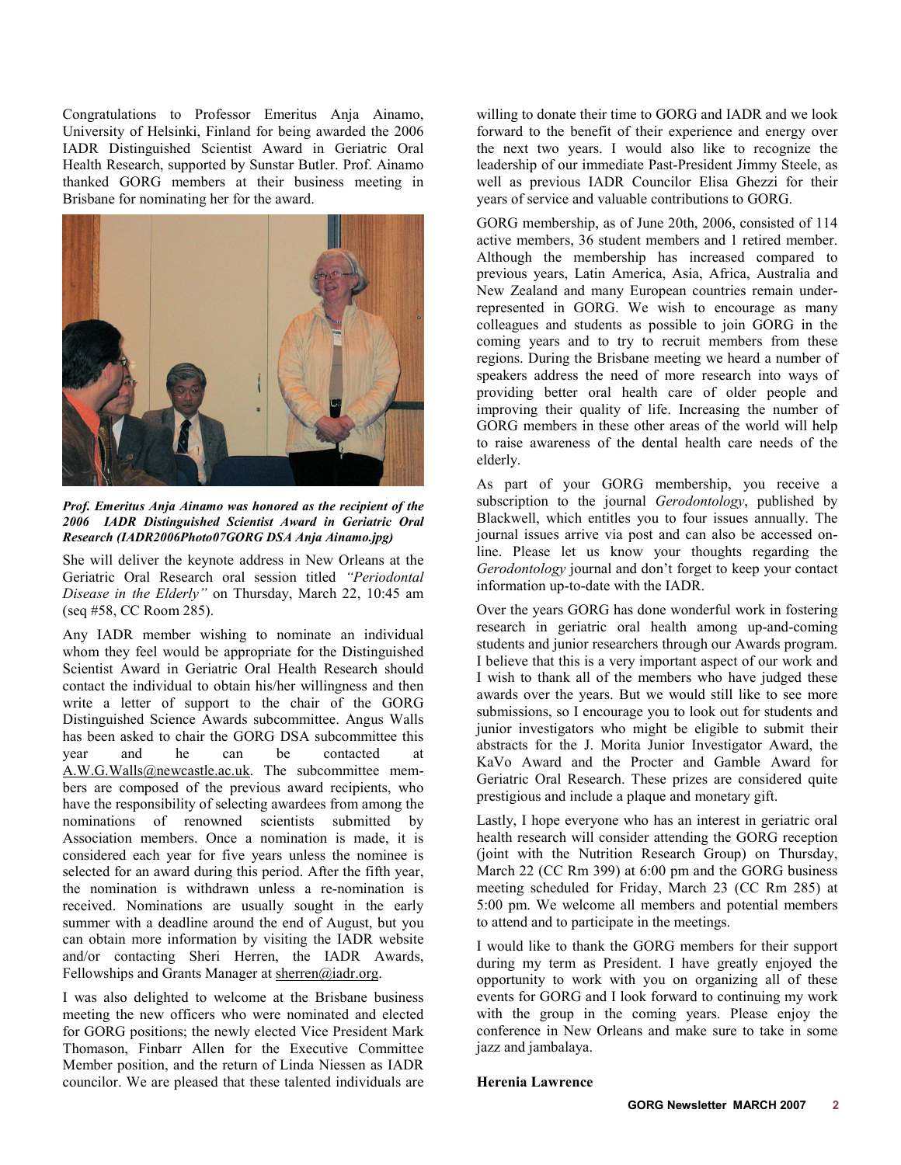Congratulations to Professor Emeritus Anja Ainamo, University of Helsinki, Finland for being awarded the 2006 IADR Distinguished Scientist Award in Geriatric Oral Health Research, supported by Sunstar Butler. Prof. Ainamo thanked GORG members at their business meeting in Brisbane for nominating her for the award.



*Prof. Emeritus Anja Ainamo was honored as the recipient of the 2006 IADR Distinguished Scientist Award in Geriatric Oral Research (IADR2006Photo07GORG DSA Anja Ainamo.jpg)* 

She will deliver the keynote address in New Orleans at the Geriatric Oral Research oral session titled *"Periodontal Disease in the Elderly"* on Thursday, March 22, 10:45 am (seq #58, CC Room 285).

Any IADR member wishing to nominate an individual whom they feel would be appropriate for the Distinguished Scientist Award in Geriatric Oral Health Research should contact the individual to obtain his/her willingness and then write a letter of support to the chair of the GORG Distinguished Science Awards subcommittee. Angus Walls has been asked to chair the GORG DSA subcommittee this year and he can be contacted at A.W.G.Walls@newcastle.ac.uk. The subcommittee members are composed of the previous award recipients, who have the responsibility of selecting awardees from among the nominations of renowned scientists submitted by Association members. Once a nomination is made, it is considered each year for five years unless the nominee is selected for an award during this period. After the fifth year, the nomination is withdrawn unless a re-nomination is received. Nominations are usually sought in the early summer with a deadline around the end of August, but you can obtain more information by visiting the IADR website and/or contacting Sheri Herren, the IADR Awards, Fellowships and Grants Manager at sherren@iadr.org.

I was also delighted to welcome at the Brisbane business meeting the new officers who were nominated and elected for GORG positions; the newly elected Vice President Mark Thomason, Finbarr Allen for the Executive Committee Member position, and the return of Linda Niessen as IADR councilor. We are pleased that these talented individuals are

willing to donate their time to GORG and IADR and we look forward to the benefit of their experience and energy over the next two years. I would also like to recognize the leadership of our immediate Past-President Jimmy Steele, as well as previous IADR Councilor Elisa Ghezzi for their years of service and valuable contributions to GORG.

GORG membership, as of June 20th, 2006, consisted of 114 active members, 36 student members and 1 retired member. Although the membership has increased compared to previous years, Latin America, Asia, Africa, Australia and New Zealand and many European countries remain underrepresented in GORG. We wish to encourage as many colleagues and students as possible to join GORG in the coming years and to try to recruit members from these regions. During the Brisbane meeting we heard a number of speakers address the need of more research into ways of providing better oral health care of older people and improving their quality of life. Increasing the number of GORG members in these other areas of the world will help to raise awareness of the dental health care needs of the elderly.

As part of your GORG membership, you receive a subscription to the journal *Gerodontology*, published by Blackwell, which entitles you to four issues annually. The journal issues arrive via post and can also be accessed online. Please let us know your thoughts regarding the *Gerodontology* journal and don't forget to keep your contact information up-to-date with the IADR.

Over the years GORG has done wonderful work in fostering research in geriatric oral health among up-and-coming students and junior researchers through our Awards program. I believe that this is a very important aspect of our work and I wish to thank all of the members who have judged these awards over the years. But we would still like to see more submissions, so I encourage you to look out for students and junior investigators who might be eligible to submit their abstracts for the J. Morita Junior Investigator Award, the KaVo Award and the Procter and Gamble Award for Geriatric Oral Research. These prizes are considered quite prestigious and include a plaque and monetary gift.

Lastly, I hope everyone who has an interest in geriatric oral health research will consider attending the GORG reception (joint with the Nutrition Research Group) on Thursday, March 22 (CC Rm 399) at 6:00 pm and the GORG business meeting scheduled for Friday, March 23 (CC Rm 285) at 5:00 pm. We welcome all members and potential members to attend and to participate in the meetings.

I would like to thank the GORG members for their support during my term as President. I have greatly enjoyed the opportunity to work with you on organizing all of these events for GORG and I look forward to continuing my work with the group in the coming years. Please enjoy the conference in New Orleans and make sure to take in some jazz and jambalaya.

# **Herenia Lawrence**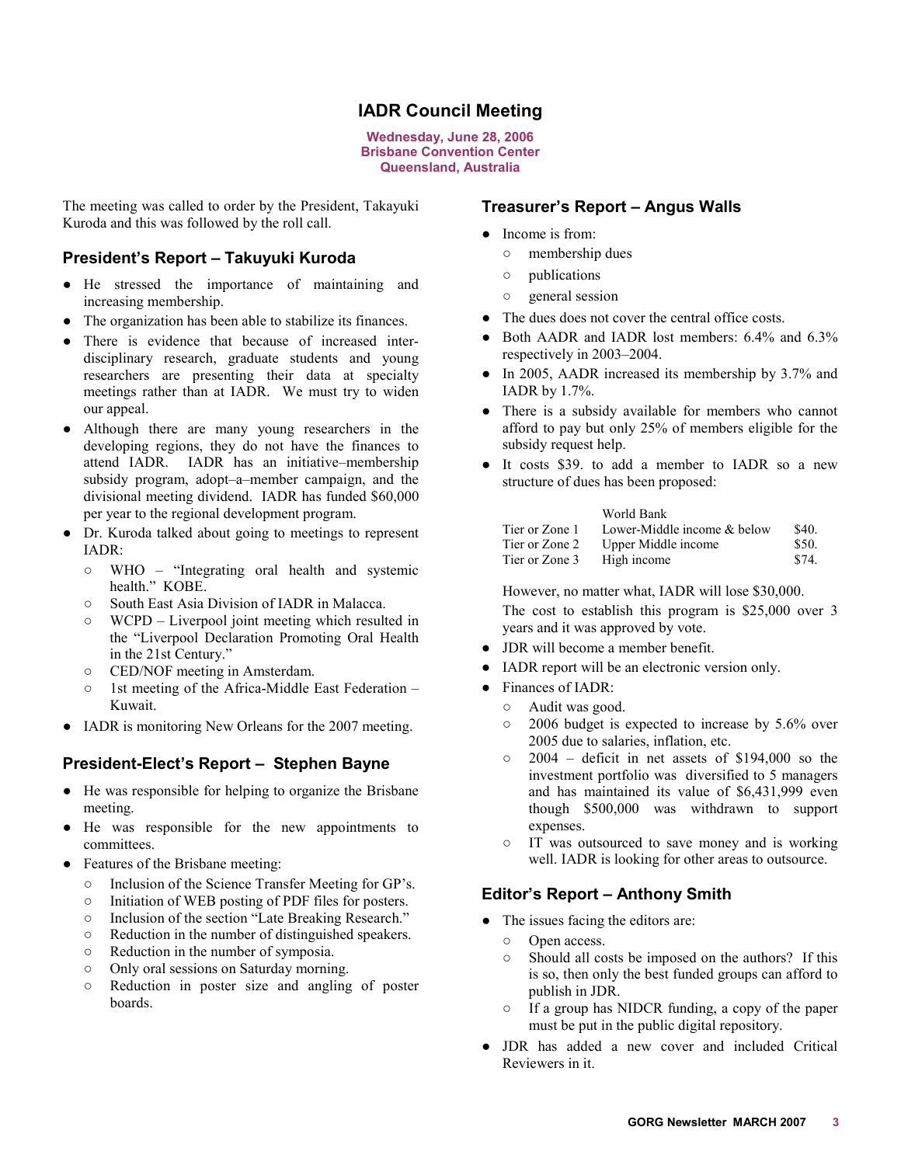# **IADR Council Meeting**

**Wednesday, June 28, 2006 Brisbane Convention Center Queensland, Australia** 

<span id="page-2-0"></span>The meeting was called to order by the President, Takayuki Kuroda and this was followed by the roll call.

# **President's Report – Takuyuki Kuroda**

- O He stressed the importance of maintaining and increasing membership.
- The organization has been able to stabilize its finances.
- There is evidence that because of increased interdisciplinary research, graduate students and young researchers are presenting their data at specialty meetings rather than at IADR. We must try to widen our appeal.
- Although there are many young researchers in the developing regions, they do not have the finances to attend IADR. IADR has an initiative–membership subsidy program, adopt–a–member campaign, and the divisional meeting dividend. IADR has funded \$60,000 per year to the regional development program.
- O Dr. Kuroda talked about going to meetings to represent IADR:
	- $\circ$  WHO "Integrating oral health and systemic health." KOBE.
	- o South East Asia Division of IADR in Malacca.
	- $\circ$  WCPD Liverpool joint meeting which resulted in the "Liverpool Declaration Promoting Oral Health in the 21st Century."
	- $\circ$  CED/NOF meeting in Amsterdam.
	- $\circ$  1st meeting of the Africa-Middle East Federation Kuwait.
- IADR is monitoring New Orleans for the 2007 meeting.

# **President-Elect's Report – Stephen Bayne**

- O He was responsible for helping to organize the Brisbane meeting.
- O He was responsible for the new appointments to committees.
- Features of the Brisbane meeting:
	- o Inclusion of the Science Transfer Meeting for GP's.
	- $\circ$  Initiation of WEB posting of PDF files for posters.
	- o Inclusion of the section "Late Breaking Research."
	- $\circ$  Reduction in the number of distinguished speakers.
	- $\circ$  Reduction in the number of symposia.
	- $\circ$  Only oral sessions on Saturday morning.
	- R Reduction in poster size and angling of poster boards.

# **Treasurer's Report – Angus Walls**

- Income is from:
	- $\circ$  membership dues
	- $\circ$  publications
	- $\circ$  general session
- The dues does not cover the central office costs.
- Both AADR and IADR lost members: 6.4% and 6.3% respectively in 2003–2004.
- $\bullet$  In 2005, AADR increased its membership by 3.7% and IADR by 1.7%.
- There is a subsidy available for members who cannot afford to pay but only 25% of members eligible for the subsidy request help.
- It costs \$39. to add a member to IADR so a new structure of dues has been proposed:

#### World Bank

| Tier or Zone 1 | Lower-Middle income & below | \$40. |
|----------------|-----------------------------|-------|
| Tier or Zone 2 | Upper Middle income         | \$50. |
| Tier or Zone 3 | High income                 | \$74. |

However, no matter what, IADR will lose \$30,000. The cost to establish this program is \$25,000 over 3 years and it was approved by vote.

- JDR will become a member benefit.
- IADR report will be an electronic version only.
- Finances of IADR:
	- $\circ$  Audit was good.
	- $\circ$  2006 budget is expected to increase by 5.6% over 2005 due to salaries, inflation, etc.
	- $\circ$  2004 deficit in net assets of \$194,000 so the investment portfolio was diversified to 5 managers and has maintained its value of \$6,431,999 even though \$500,000 was withdrawn to support expenses.
	- IT was outsourced to save money and is working well. IADR is looking for other areas to outsource.

# **Editor's Report – Anthony Smith**

- The issues facing the editors are:
	- o Open access.
	- $\circ$  Should all costs be imposed on the authors? If this is so, then only the best funded groups can afford to publish in JDR.
	- $\circ$  If a group has NIDCR funding, a copy of the paper must be put in the public digital repository.
- JDR has added a new cover and included Critical Reviewers in it.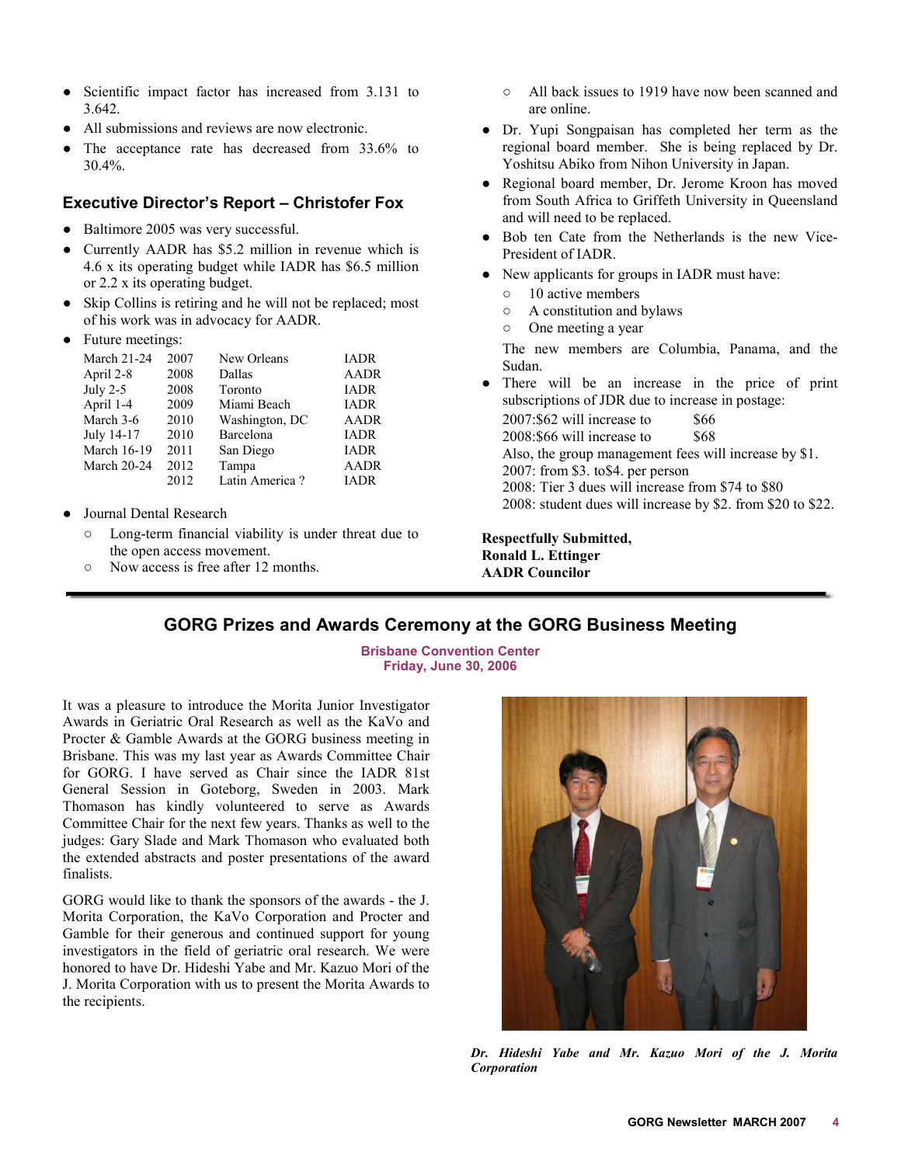- <span id="page-3-0"></span>• Scientific impact factor has increased from 3.131 to 3.642.
- All submissions and reviews are now electronic.
- The acceptance rate has decreased from  $33.6\%$  to 30.4%.

# **Executive Director's Report – Christofer Fox**

- Baltimore 2005 was very successful.
- Currently AADR has \$5.2 million in revenue which is 4.6 x its operating budget while IADR has \$6.5 million or 2.2 x its operating budget.
- Skip Collins is retiring and he will not be replaced; most of his work was in advocacy for AADR.
- Future meetings:

| <b>March 21-24</b> | 2007 | New Orleans    | <b>IADR</b> |
|--------------------|------|----------------|-------------|
| April 2-8          | 2008 | Dallas         | <b>AADR</b> |
| July $2-5$         | 2008 | Toronto        | <b>IADR</b> |
| April 1-4          | 2009 | Miami Beach    | <b>IADR</b> |
| March 3-6          | 2010 | Washington, DC | AADR        |
| July 14-17         | 2010 | Barcelona      | <b>IADR</b> |
| <b>March 16-19</b> | 2011 | San Diego      | <b>IADR</b> |
| <b>March 20-24</b> | 2012 | Tampa          | <b>AADR</b> |
|                    | 2012 | Latin America? | <b>IADR</b> |
|                    |      |                |             |

- Journal Dental Research
	- $\circ$  Long-term financial viability is under threat due to the open access movement.
	- Now access is free after 12 months.
- $\circ$  All back issues to 1919 have now been scanned and are online.
- O Dr. Yupi Songpaisan has completed her term as the regional board member. She is being replaced by Dr. Yoshitsu Abiko from Nihon University in Japan.
- Regional board member, Dr. Jerome Kroon has moved from South Africa to Griffeth University in Queensland and will need to be replaced.
- Bob ten Cate from the Netherlands is the new Vice-President of IADR.
- New applicants for groups in IADR must have:
	- $\circ$  10 active members
	- $\circ$  A constitution and bylaws
	- $\circ$  One meeting a year

The new members are Columbia, Panama, and the Sudan.

There will be an increase in the price of print subscriptions of JDR due to increase in postage:

 $2007: $62$  will increase to  $$66$  $2008: $66$  will increase to  $$68$ Also, the group management fees will increase by \$1. 2007: from \$3. to\$4. per person 2008: Tier 3 dues will increase from \$74 to \$80 2008: student dues will increase by \$2. from \$20 to \$22.

**Respectfully Submitted, Ronald L. Ettinger AADR Councilor** 

# **GORG Prizes and Awards Ceremony at the GORG Business Meeting**

**Brisbane Convention Center Friday, June 30, 2006** 

It was a pleasure to introduce the Morita Junior Investigator Awards in Geriatric Oral Research as well as the KaVo and Procter & Gamble Awards at the GORG business meeting in Brisbane. This was my last year as Awards Committee Chair for GORG. I have served as Chair since the IADR 81st General Session in Goteborg, Sweden in 2003. Mark Thomason has kindly volunteered to serve as Awards Committee Chair for the next few years. Thanks as well to the judges: Gary Slade and Mark Thomason who evaluated both the extended abstracts and poster presentations of the award finalists.

GORG would like to thank the sponsors of the awards - the J. Morita Corporation, the KaVo Corporation and Procter and Gamble for their generous and continued support for young investigators in the field of geriatric oral research. We were honored to have Dr. Hideshi Yabe and Mr. Kazuo Mori of the J. Morita Corporation with us to present the Morita Awards to the recipients.



*Dr. Hideshi Yabe and Mr. Kazuo Mori of the J. Morita Corporation*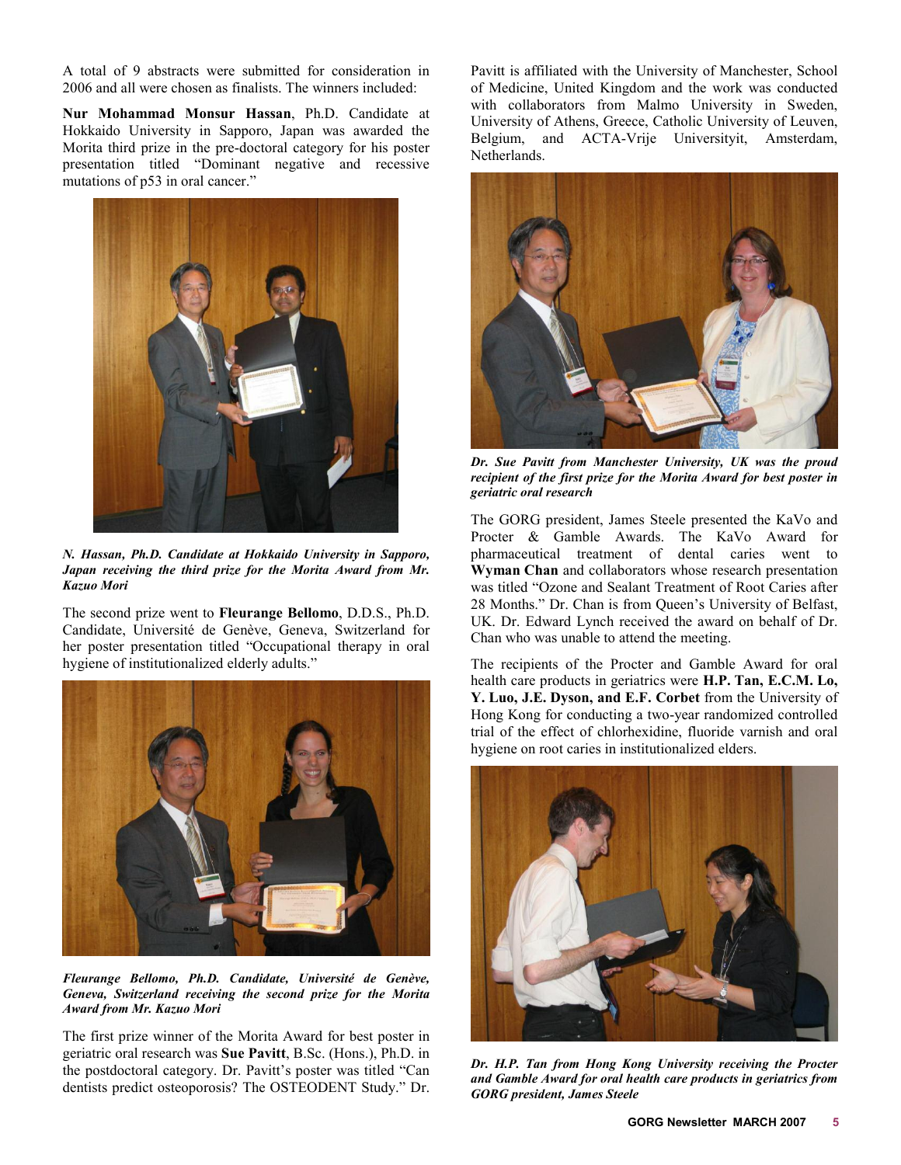A total of 9 abstracts were submitted for consideration in 2006 and all were chosen as finalists. The winners included:

**Nur Mohammad Monsur Hassan**, Ph.D. Candidate at Hokkaido University in Sapporo, Japan was awarded the Morita third prize in the pre-doctoral category for his poster presentation titled "Dominant negative and recessive mutations of p53 in oral cancer."



*N. Hassan, Ph.D. Candidate at Hokkaido University in Sapporo, Japan receiving the third prize for the Morita Award from Mr. Kazuo Mori* 

The second prize went to **Fleurange Bellomo**, D.D.S., Ph.D. Candidate, Université de Genève, Geneva, Switzerland for her poster presentation titled "Occupational therapy in oral hygiene of institutionalized elderly adults."



*Fleurange Bellomo, Ph.D. Candidate, Université de Genève, Geneva, Switzerland receiving the second prize for the Morita Award from Mr. Kazuo Mori* 

The first prize winner of the Morita Award for best poster in geriatric oral research was **Sue Pavitt**, B.Sc. (Hons.), Ph.D. in the postdoctoral category. Dr. Pavitt's poster was titled "Can dentists predict osteoporosis? The OSTEODENT Study." Dr. Pavitt is affiliated with the University of Manchester, School of Medicine, United Kingdom and the work was conducted with collaborators from Malmo University in Sweden, University of Athens, Greece, Catholic University of Leuven, Belgium, and ACTA-Vrije Universityit, Amsterdam, Netherlands.



*Dr. Sue Pavitt from Manchester University, UK was the proud recipient of the first prize for the Morita Award for best poster in geriatric oral research* 

The GORG president, James Steele presented the KaVo and Procter & Gamble Awards. The KaVo Award for pharmaceutical treatment of dental caries went to **Wyman Chan** and collaborators whose research presentation was titled "Ozone and Sealant Treatment of Root Caries after 28 Months." Dr. Chan is from Queen's University of Belfast, UK. Dr. Edward Lynch received the award on behalf of Dr. Chan who was unable to attend the meeting.

The recipients of the Procter and Gamble Award for oral health care products in geriatrics were **H.P. Tan, E.C.M. Lo, Y. Luo, J.E. Dyson, and E.F. Corbet** from the University of Hong Kong for conducting a two-year randomized controlled trial of the effect of chlorhexidine, fluoride varnish and oral hygiene on root caries in institutionalized elders.



*Dr. H.P. Tan from Hong Kong University receiving the Procter and Gamble Award for oral health care products in geriatrics from GORG president, James Steele*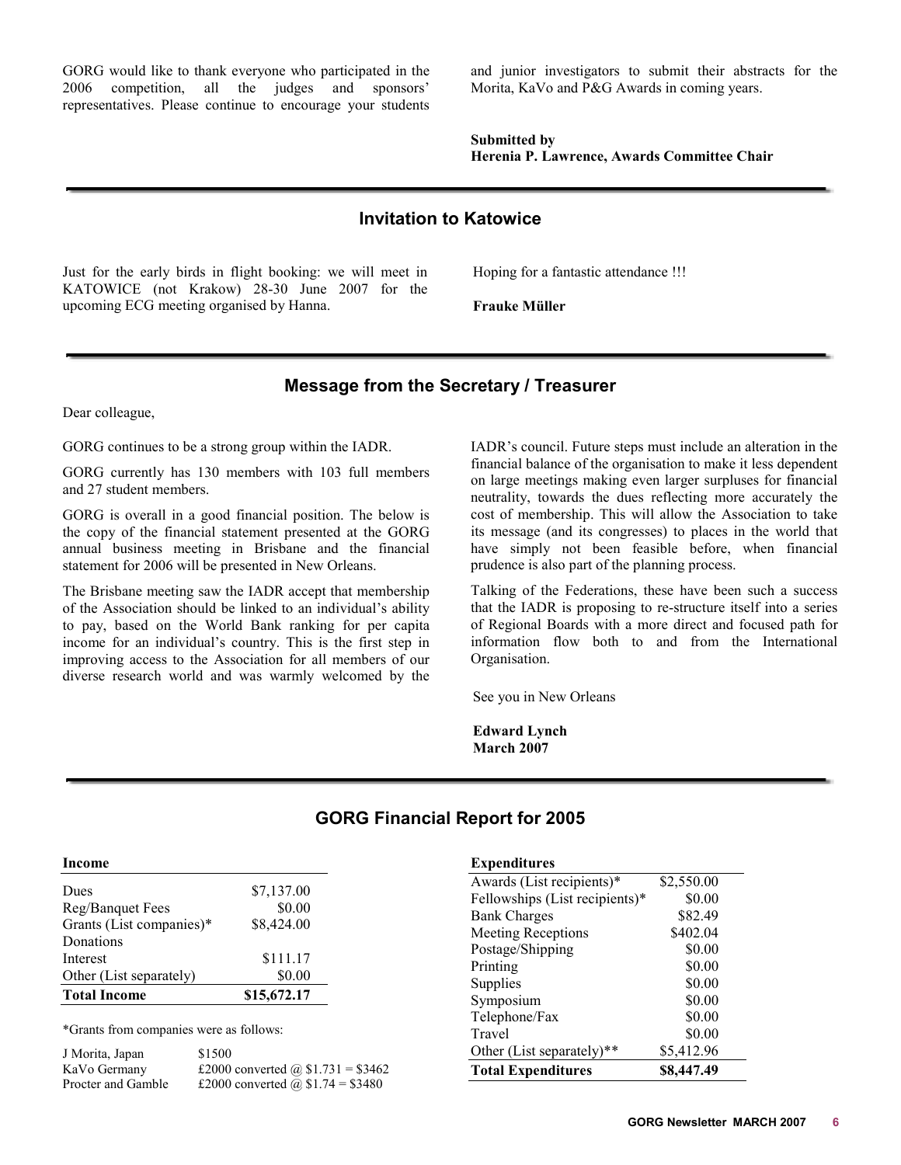<span id="page-5-0"></span>GORG would like to thank everyone who participated in the 2006 competition, all the judges and sponsors' representatives. Please continue to encourage your students and junior investigators to submit their abstracts for the Morita, KaVo and P&G Awards in coming years.

**Submitted by Herenia P. Lawrence, Awards Committee Chair** 

# **Invitation to Katowice**

Just for the early birds in flight booking: we will meet in KATOWICE (not Krakow) 28-30 June 2007 for the upcoming ECG meeting organised by Hanna.

Hoping for a fantastic attendance !!!

**Frauke Müller** 

# **Message from the Secretary / Treasurer**

Dear colleague,

GORG continues to be a strong group within the IADR.

GORG currently has 130 members with 103 full members and 27 student members.

GORG is overall in a good financial position. The below is the copy of the financial statement presented at the GORG annual business meeting in Brisbane and the financial statement for 2006 will be presented in New Orleans.

The Brisbane meeting saw the IADR accept that membership of the Association should be linked to an individual's ability to pay, based on the World Bank ranking for per capita income for an individual's country. This is the first step in improving access to the Association for all members of our diverse research world and was warmly welcomed by the

IADR's council. Future steps must include an alteration in the financial balance of the organisation to make it less dependent on large meetings making even larger surpluses for financial neutrality, towards the dues reflecting more accurately the cost of membership. This will allow the Association to take its message (and its congresses) to places in the world that have simply not been feasible before, when financial prudence is also part of the planning process.

Talking of the Federations, these have been such a success that the IADR is proposing to re-structure itself into a series of Regional Boards with a more direct and focused path for information flow both to and from the International Organisation.

See you in New Orleans

**Edward Lynch March 2007** 

**Expenditures** 

\*Grants from companies were as follows:

| J Morita, Japan    | \$1500                             |
|--------------------|------------------------------------|
| KaVo Germany       | £2000 converted @ $$1.731 = $3462$ |
| Procter and Gamble | £2000 converted @ \$1.74 = \$3480  |

# **GORG Financial Report for 2005**

| <b>L</b> xpenditures           |            |
|--------------------------------|------------|
| Awards (List recipients)*      | \$2,550.00 |
| Fellowships (List recipients)* | \$0.00     |
| <b>Bank Charges</b>            | \$82.49    |
| <b>Meeting Receptions</b>      | \$402.04   |
| Postage/Shipping               | \$0.00     |
| Printing                       | \$0.00     |
| Supplies                       | \$0.00     |
| Symposium                      | \$0.00     |
| Telephone/Fax                  | \$0.00     |
| Travel                         | \$0.00     |
| Other (List separately)**      | \$5,412.96 |
| <b>Total Expenditures</b>      | \$8,447.49 |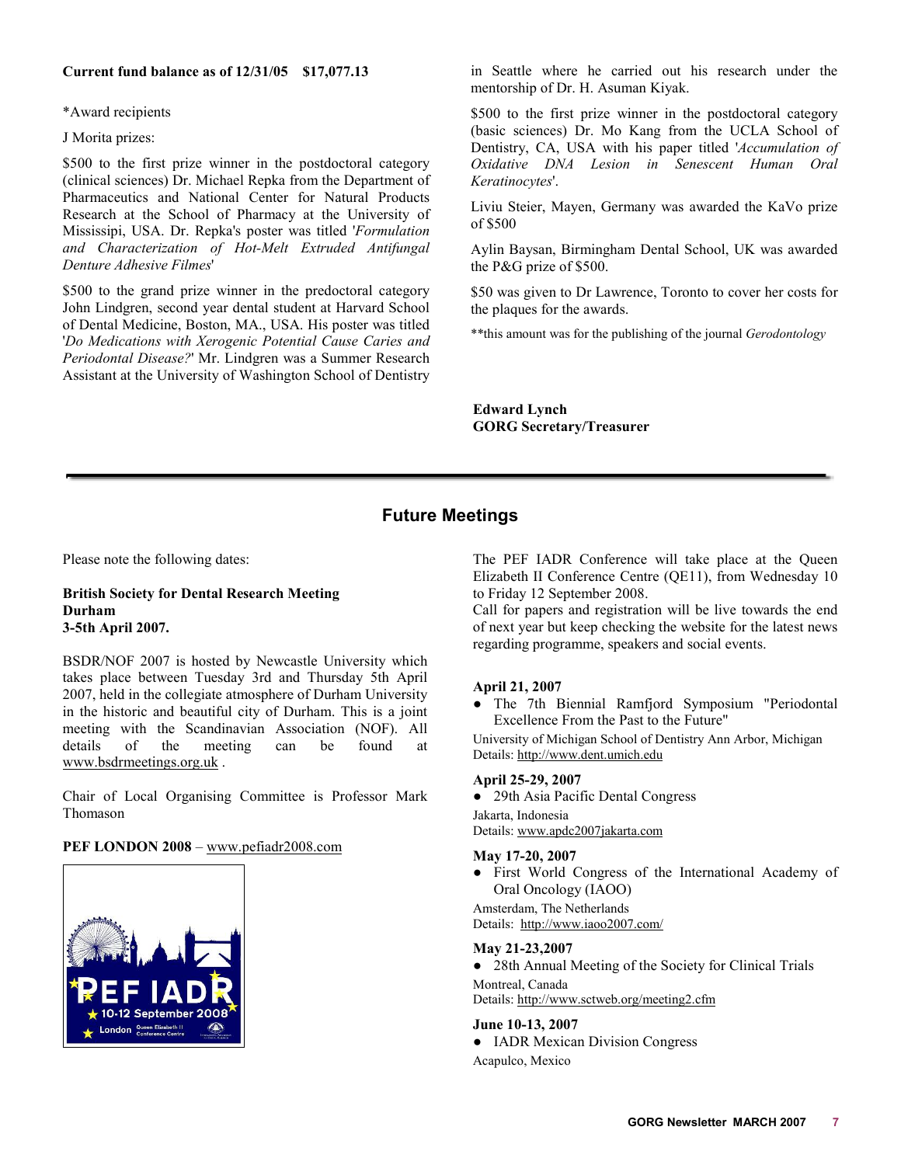# <span id="page-6-0"></span>**Current fund balance as of 12/31/05 \$17,077.13**

\*Award recipients

J Morita prizes:

\$500 to the first prize winner in the postdoctoral category (clinical sciences) Dr. Michael Repka from the Department of Pharmaceutics and National Center for Natural Products Research at the School of Pharmacy at the University of Mississipi, USA. Dr. Repka's poster was titled '*Formulation and Characterization of Hot-Melt Extruded Antifungal Denture Adhesive Filmes*'

\$500 to the grand prize winner in the predoctoral category John Lindgren, second year dental student at Harvard School of Dental Medicine, Boston, MA., USA. His poster was titled '*Do Medications with Xerogenic Potential Cause Caries and Periodontal Disease?*' Mr. Lindgren was a Summer Research Assistant at the University of Washington School of Dentistry

in Seattle where he carried out his research under the mentorship of Dr. H. Asuman Kiyak.

\$500 to the first prize winner in the postdoctoral category (basic sciences) Dr. Mo Kang from the UCLA School of Dentistry, CA, USA with his paper titled '*Accumulation of Oxidative DNA Lesion in Senescent Human Oral Keratinocytes*'.

Liviu Steier, Mayen, Germany was awarded the KaVo prize of \$500

Aylin Baysan, Birmingham Dental School, UK was awarded the P&G prize of \$500.

\$50 was given to Dr Lawrence, Toronto to cover her costs for the plaques for the awards.

\*\*this amount was for the publishing of the journal *Gerodontology*

**Edward Lynch GORG Secretary/Treasurer** 

# **Future Meetings**

Please note the following dates:

# **British Society for Dental Research Meeting Durham 3-5th April 2007.**

BSDR/NOF 2007 is hosted by Newcastle University which takes place between Tuesday 3rd and Thursday 5th April 2007, held in the collegiate atmosphere of Durham University in the historic and beautiful city of Durham. This is a joint meeting with the Scandinavian Association (NOF). All details of the meeting can be found at www.bsdrmeetings.org.uk .

Chair of Local Organising Committee is Professor Mark Thomason

# **PEF LONDON 2008** – www.pefiadr2008.com



The PEF IADR Conference will take place at the Queen Elizabeth II Conference Centre (QE11), from Wednesday 10 to Friday 12 September 2008.

Call for papers and registration will be live towards the end of next year but keep checking the website for the latest news regarding programme, speakers and social events.

# **April 21, 2007**

• The 7th Biennial Ramfjord Symposium "Periodontal Excellence From the Past to the Future"

University of Michigan School of Dentistry Ann Arbor, Michigan Details: http://www.dent.umich.edu

# **April 25-29, 2007**

• 29th Asia Pacific Dental Congress Jakarta, Indonesia Details: www.apdc2007jakarta.com

### **May 17-20, 2007**

• First World Congress of the International Academy of Oral Oncology (IAOO)

Amsterdam, The Netherlands Details: http://www.iaoo2007.com/

#### **May 21-23,2007**

• 28th Annual Meeting of the Society for Clinical Trials Montreal, Canada Details: http://www.sctweb.org/meeting2.cfm

# **June 10-13, 2007**

• IADR Mexican Division Congress Acapulco, Mexico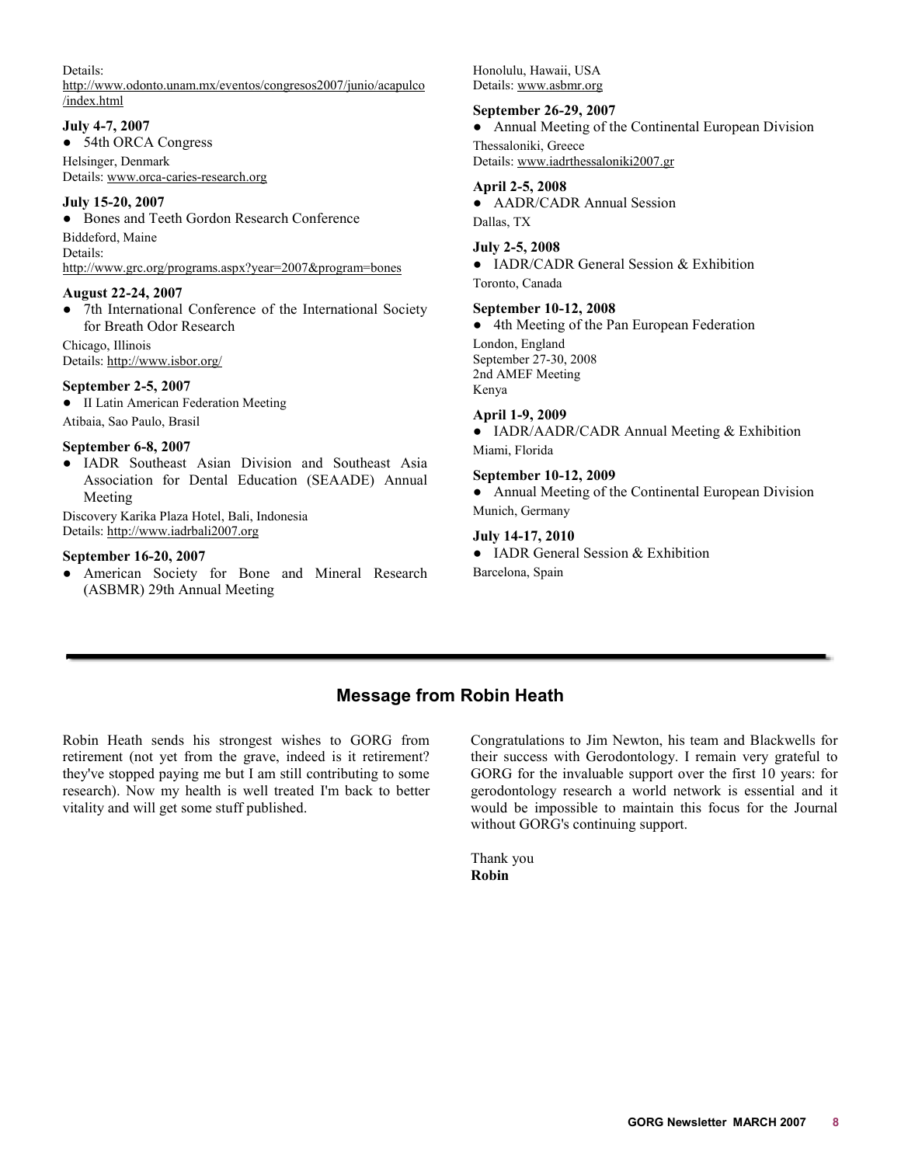# <span id="page-7-0"></span>Details:

http://www.odonto.unam.mx/eventos/congresos2007/junio/acapulco /index.html

# **July 4-7, 2007**

• 54th ORCA Congress

Helsinger, Denmark Details: www.orca-caries-research.org

# **July 15-20, 2007**

• Bones and Teeth Gordon Research Conference Biddeford, Maine Details: http://www.grc.org/programs.aspx?year=2007&program=bones

# **August 22-24, 2007**

• 7th International Conference of the International Society for Breath Odor Research

Chicago, Illinois Details: http://www.isbor.org/

# **September 2-5, 2007**

 $\bullet$  II Latin American Federation Meeting Atibaia, Sao Paulo, Brasil

# **September 6-8, 2007**

• IADR Southeast Asian Division and Southeast Asia Association for Dental Education (SEAADE) Annual Meeting

Discovery Karika Plaza Hotel, Bali, Indonesia Details: http://www.iadrbali2007.org

# **September 16-20, 2007**

O American Society for Bone and Mineral Research (ASBMR) 29th Annual Meeting

Honolulu, Hawaii, USA Details: www.asbmr.org

# **September 26-29, 2007**

• Annual Meeting of the Continental European Division Thessaloniki, Greece Details: www.iadrthessaloniki2007.gr

# **April 2-5, 2008**

• AADR/CADR Annual Session Dallas, TX

# **July 2-5, 2008**

• IADR/CADR General Session & Exhibition Toronto, Canada

# **September 10-12, 2008**

• 4th Meeting of the Pan European Federation London, England September 27-30, 2008 2nd AMEF Meeting Kenya **April 1-9, 2009** 

• IADR/AADR/CADR Annual Meeting & Exhibition Miami, Florida

# **September 10-12, 2009**

• Annual Meeting of the Continental European Division Munich, Germany

# **July 14-17, 2010**

• IADR General Session  $&$  Exhibition Barcelona, Spain

# **Message from Robin Heath**

Robin Heath sends his strongest wishes to GORG from retirement (not yet from the grave, indeed is it retirement? they've stopped paying me but I am still contributing to some research). Now my health is well treated I'm back to better vitality and will get some stuff published.

Congratulations to Jim Newton, his team and Blackwells for their success with Gerodontology. I remain very grateful to GORG for the invaluable support over the first 10 years: for gerodontology research a world network is essential and it would be impossible to maintain this focus for the Journal without GORG's continuing support.

Thank you **Robin**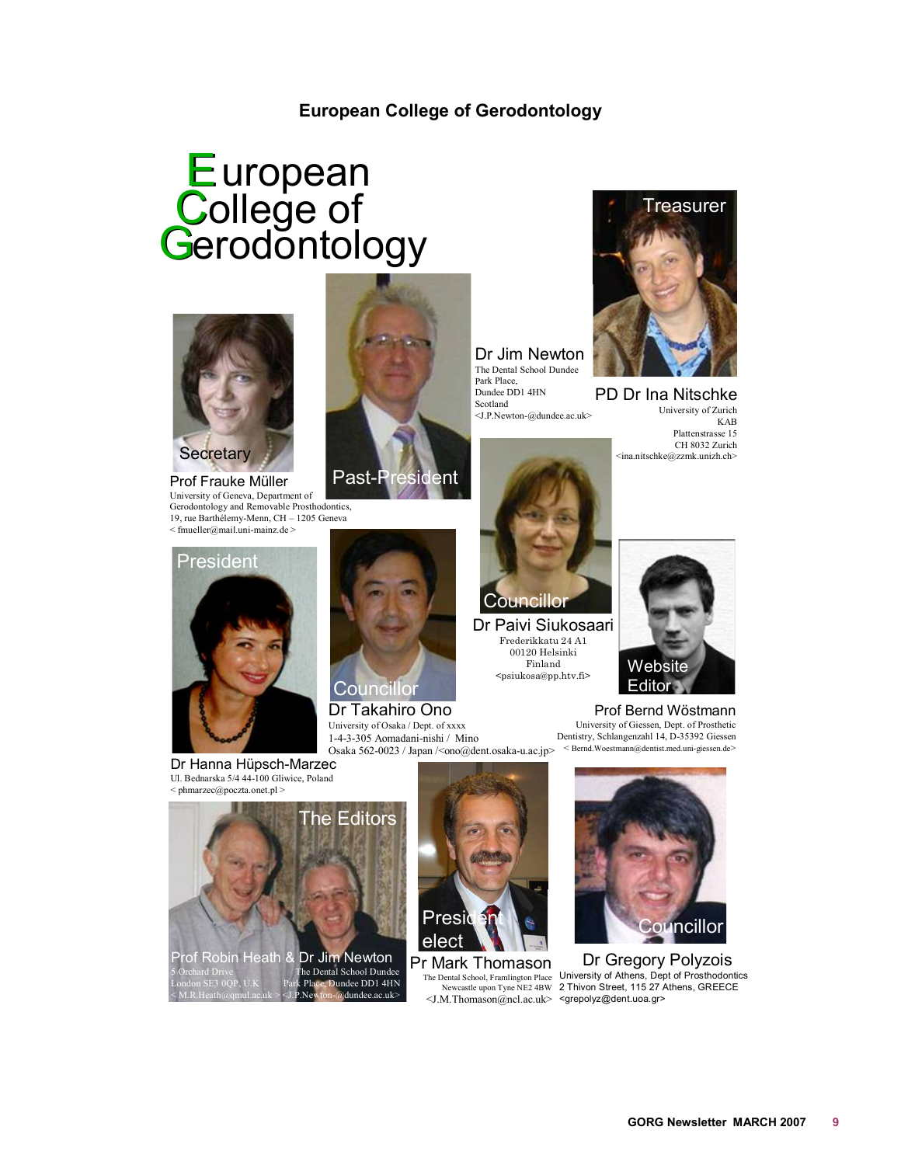# **European College of Gerodontology**

# <span id="page-8-0"></span>European<br>College of<br>Gerodontology



Prof Frauke Müller University of Geneva, Department of Gerodontology and Removable Prosthodontics, 19, rue Barthélemy-Menn, CH – 1205 Geneva  $\leq$  fmueller@mail.uni-mainz.de  $>$ 



Dr Jim Newton The Dental School Dundee Park Place, Dundee DD1 4HN Scotland <J.P.Newton-@dundee.ac.uk>



Dr Paivi Siukosaari Frederikkatu 24 A1 00120 Helsinki Finland <psiukosa@pp.htv.fi>



PD Dr Ina Nitschke University of Zurich KAB Plattenstrasse 15 CH 8032 Zurich <ina.nitschke@zzmk.unizh.ch>



Dr Hanna Hüpsch-Marzec Ul. Bednarska 5/4 44-100 Gliwice, Poland < phmarzec@poczta.onet.pl >



Osaka 562-0023 / Japan /<ono@dent.osaka-u.ac.jp> < Bernd.Woestmann@dentist.med.uni-giessen.de> Dr Takahiro Ono University of Osaka / Dept. of xxxx 1-4-3-305 Aomadani-nishi / Mino



Prof Bernd Wöstmann University of Giessen, Dept. of Prosthetic Dentistry, Schlangenzahl 14, D-35392 Giessen





Pr Mark Thomason



Dr Gregory Polyzois The Dental School, Framlington Place University of Athens, Dept of Prosthodontics<br>Newcastle upon Tyne NE2 4BW 2 Thivon Street, 115 27 Athens, GREECE <J.M.Thomason@ncl.ac.uk> <grepolyz@dent.uoa.gr>



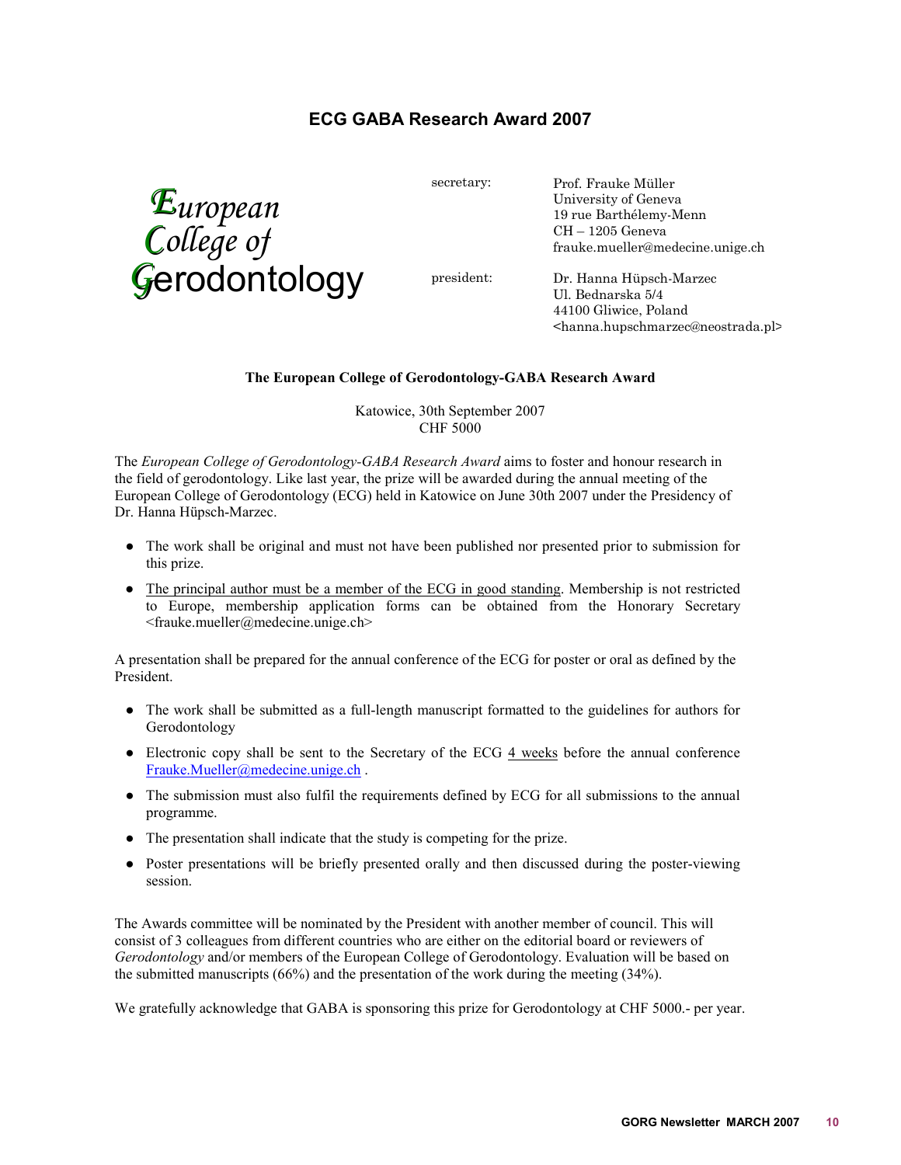# **ECG GABA Research Award 2007**

<span id="page-9-0"></span>*European College of G*erodontology secretary:

president:

Prof. Frauke Müller University of Geneva 19 rue Barthélemy-Menn CH – 1205 Geneva frauke.mueller@medecine.unige.ch

Dr. Hanna Hüpsch-Marzec Ul. Bednarska 5/4 44100 Gliwice, Poland <hanna.hupschmarzec@neostrada.pl>

# **The European College of Gerodontology-GABA Research Award**

Katowice, 30th September 2007 CHF 5000

The *European College of Gerodontology-GABA Research Award* aims to foster and honour research in the field of gerodontology. Like last year, the prize will be awarded during the annual meeting of the European College of Gerodontology (ECG) held in Katowice on June 30th 2007 under the Presidency of Dr. Hanna Hüpsch-Marzec.

- O The work shall be original and must not have been published nor presented prior to submission for this prize.
- The principal author must be a member of the ECG in good standing. Membership is not restricted to Europe, membership application forms can be obtained from the Honorary Secretary <frauke.mueller@medecine.unige.ch>

A presentation shall be prepared for the annual conference of the ECG for poster or oral as defined by the President.

- O The work shall be submitted as a full-length manuscript formatted to the guidelines for authors for Gerodontology
- $\bullet$  Electronic copy shall be sent to the Secretary of the ECG  $\frac{4 \text{ weeks}}{4 \text{ weeks}}$  before the annual conference Frauke.Mueller@medecine.unige.ch .
- O The submission must also fulfil the requirements defined by ECG for all submissions to the annual programme.
- The presentation shall indicate that the study is competing for the prize.
- Poster presentations will be briefly presented orally and then discussed during the poster-viewing session.

The Awards committee will be nominated by the President with another member of council. This will consist of 3 colleagues from different countries who are either on the editorial board or reviewers of *Gerodontology* and/or members of the European College of Gerodontology. Evaluation will be based on the submitted manuscripts (66%) and the presentation of the work during the meeting (34%).

We gratefully acknowledge that GABA is sponsoring this prize for Gerodontology at CHF 5000.- per year.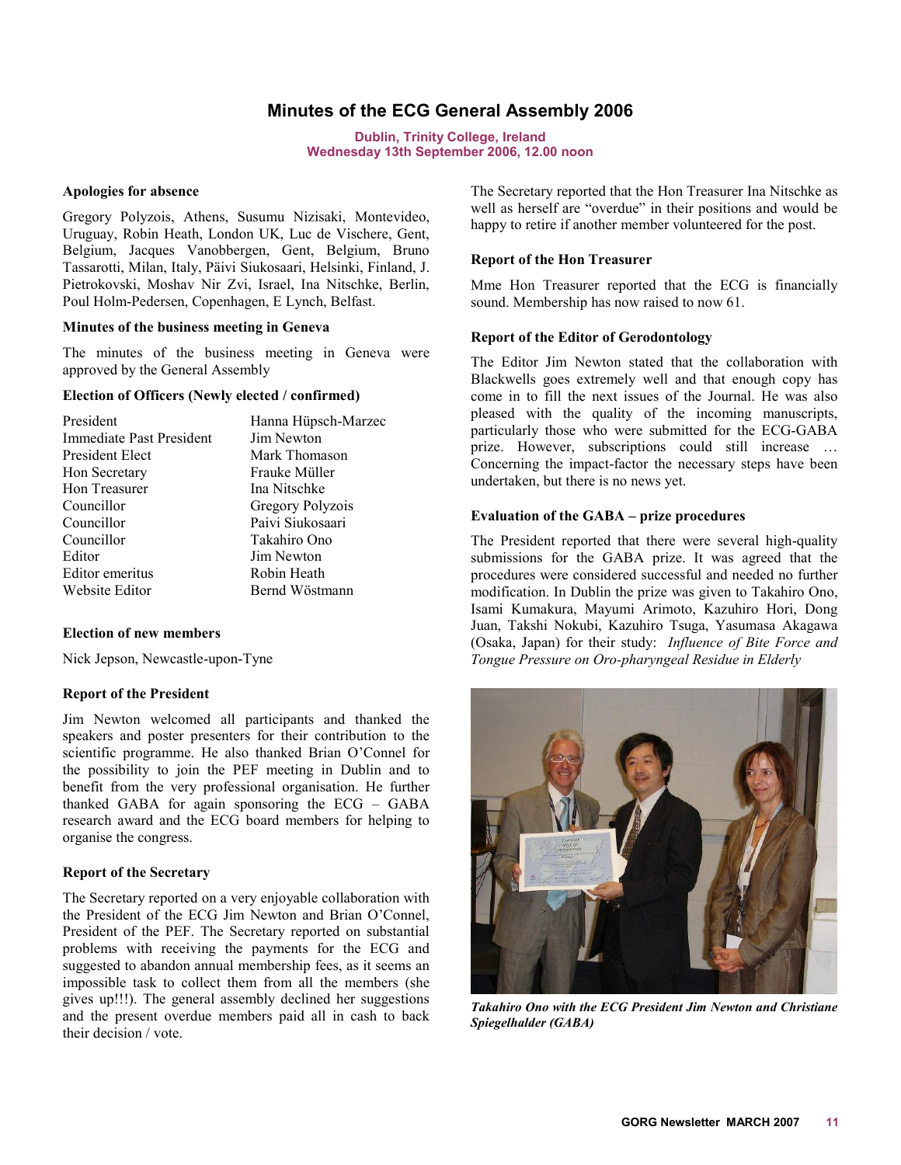# **Minutes of the ECG General Assembly 2006**

**Dublin, Trinity College, Ireland Wednesday 13th September 2006, 12.00 noon** 

#### <span id="page-10-0"></span>**Apologies for absence**

Gregory Polyzois, Athens, Susumu Nizisaki, Montevideo, Uruguay, Robin Heath, London UK, Luc de Vischere, Gent, Belgium, Jacques Vanobbergen, Gent, Belgium, Bruno Tassarotti, Milan, Italy, Päivi Siukosaari, Helsinki, Finland, J. Pietrokovski, Moshav Nir Zvi, Israel, Ina Nitschke, Berlin, Poul Holm-Pedersen, Copenhagen, E Lynch, Belfast.

#### **Minutes of the business meeting in Geneva**

The minutes of the business meeting in Geneva were approved by the General Assembly

# **Election of Officers (Newly elected / confirmed)**

| President                       | Hanna Hüpsch-Marzec |
|---------------------------------|---------------------|
| <b>Immediate Past President</b> | Jim Newton          |
| President Elect                 | Mark Thomason       |
| Hon Secretary                   | Frauke Müller       |
| Hon Treasurer                   | Ina Nitschke        |
| Councillor                      | Gregory Polyzois    |
| Councillor                      | Paivi Siukosaari    |
| Councillor                      | Takahiro Ono        |
| Editor                          | Jim Newton          |
| Editor emeritus                 | Robin Heath         |
| Website Editor                  | Bernd Wöstmann      |

#### **Election of new members**

Nick Jepson, Newcastle-upon-Tyne

#### **Report of the President**

Jim Newton welcomed all participants and thanked the speakers and poster presenters for their contribution to the scientific programme. He also thanked Brian O'Connel for the possibility to join the PEF meeting in Dublin and to benefit from the very professional organisation. He further thanked GABA for again sponsoring the ECG – GABA research award and the ECG board members for helping to organise the congress.

#### **Report of the Secretary**

The Secretary reported on a very enjoyable collaboration with the President of the ECG Jim Newton and Brian O'Connel, President of the PEF. The Secretary reported on substantial problems with receiving the payments for the ECG and suggested to abandon annual membership fees, as it seems an impossible task to collect them from all the members (she gives up!!!). The general assembly declined her suggestions and the present overdue members paid all in cash to back their decision / vote.

The Secretary reported that the Hon Treasurer Ina Nitschke as well as herself are "overdue" in their positions and would be happy to retire if another member volunteered for the post.

#### **Report of the Hon Treasurer**

Mme Hon Treasurer reported that the ECG is financially sound. Membership has now raised to now 61.

#### **Report of the Editor of Gerodontology**

The Editor Jim Newton stated that the collaboration with Blackwells goes extremely well and that enough copy has come in to fill the next issues of the Journal. He was also pleased with the quality of the incoming manuscripts, particularly those who were submitted for the ECG-GABA prize. However, subscriptions could still increase … Concerning the impact-factor the necessary steps have been undertaken, but there is no news yet.

#### **Evaluation of the GABA – prize procedures**

The President reported that there were several high-quality submissions for the GABA prize. It was agreed that the procedures were considered successful and needed no further modification. In Dublin the prize was given to Takahiro Ono, Isami Kumakura, Mayumi Arimoto, Kazuhiro Hori, Dong Juan, Takshi Nokubi, Kazuhiro Tsuga, Yasumasa Akagawa (Osaka, Japan) for their study: *Influence of Bite Force and Tongue Pressure on Oro-pharyngeal Residue in Elderly*



*Takahiro Ono with the ECG President Jim Newton and Christiane Spiegelhalder (GABA)*